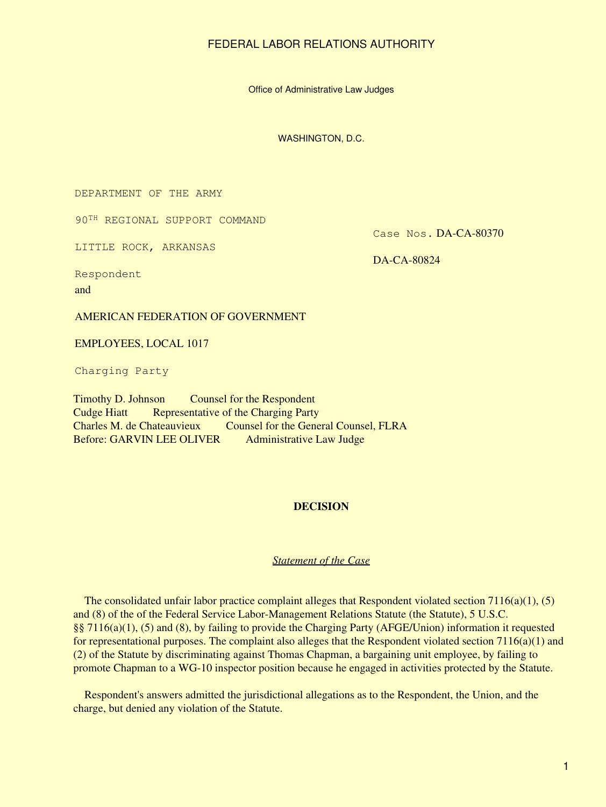Office of Administrative Law Judges

WASHINGTON, D.C.

DEPARTMENT OF THE ARMY

90TH REGIONAL SUPPORT COMMAND

LITTLE ROCK, ARKANSAS

Case Nos. DA-CA-80370

DA-CA-80824

Respondent and

AMERICAN FEDERATION OF GOVERNMENT

EMPLOYEES, LOCAL 1017

Charging Party

Timothy D. Johnson Counsel for the Respondent Cudge Hiatt Representative of the Charging Party Charles M. de Chateauvieux Counsel for the General Counsel, FLRA Before: GARVIN LEE OLIVER Administrative Law Judge

### **DECISION**

### *Statement of the Case*

The consolidated unfair labor practice complaint alleges that Respondent violated section  $7116(a)(1)$ ,  $(5)$ and (8) of the of the Federal Service Labor-Management Relations Statute (the Statute), 5 U.S.C. §§ 7116(a)(1), (5) and (8), by failing to provide the Charging Party (AFGE/Union) information it requested for representational purposes. The complaint also alleges that the Respondent violated section  $7116(a)(1)$  and (2) of the Statute by discriminating against Thomas Chapman, a bargaining unit employee, by failing to promote Chapman to a WG-10 inspector position because he engaged in activities protected by the Statute.

 Respondent's answers admitted the jurisdictional allegations as to the Respondent, the Union, and the charge, but denied any violation of the Statute.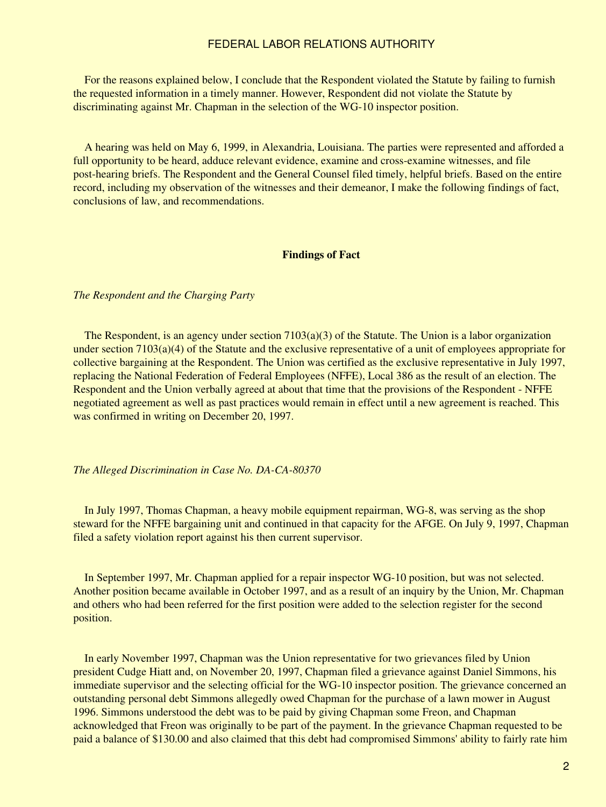For the reasons explained below, I conclude that the Respondent violated the Statute by failing to furnish the requested information in a timely manner. However, Respondent did not violate the Statute by discriminating against Mr. Chapman in the selection of the WG-10 inspector position.

 A hearing was held on May 6, 1999, in Alexandria, Louisiana. The parties were represented and afforded a full opportunity to be heard, adduce relevant evidence, examine and cross-examine witnesses, and file post-hearing briefs. The Respondent and the General Counsel filed timely, helpful briefs. Based on the entire record, including my observation of the witnesses and their demeanor, I make the following findings of fact, conclusions of law, and recommendations.

#### **Findings of Fact**

*The Respondent and the Charging Party*

The Respondent, is an agency under section  $7103(a)(3)$  of the Statute. The Union is a labor organization under section 7103(a)(4) of the Statute and the exclusive representative of a unit of employees appropriate for collective bargaining at the Respondent. The Union was certified as the exclusive representative in July 1997, replacing the National Federation of Federal Employees (NFFE), Local 386 as the result of an election. The Respondent and the Union verbally agreed at about that time that the provisions of the Respondent - NFFE negotiated agreement as well as past practices would remain in effect until a new agreement is reached. This was confirmed in writing on December 20, 1997.

*The Alleged Discrimination in Case No. DA-CA-80370*

 In July 1997, Thomas Chapman, a heavy mobile equipment repairman, WG-8, was serving as the shop steward for the NFFE bargaining unit and continued in that capacity for the AFGE. On July 9, 1997, Chapman filed a safety violation report against his then current supervisor.

 In September 1997, Mr. Chapman applied for a repair inspector WG-10 position, but was not selected. Another position became available in October 1997, and as a result of an inquiry by the Union, Mr. Chapman and others who had been referred for the first position were added to the selection register for the second position.

 In early November 1997, Chapman was the Union representative for two grievances filed by Union president Cudge Hiatt and, on November 20, 1997, Chapman filed a grievance against Daniel Simmons, his immediate supervisor and the selecting official for the WG-10 inspector position. The grievance concerned an outstanding personal debt Simmons allegedly owed Chapman for the purchase of a lawn mower in August 1996. Simmons understood the debt was to be paid by giving Chapman some Freon, and Chapman acknowledged that Freon was originally to be part of the payment. In the grievance Chapman requested to be paid a balance of \$130.00 and also claimed that this debt had compromised Simmons' ability to fairly rate him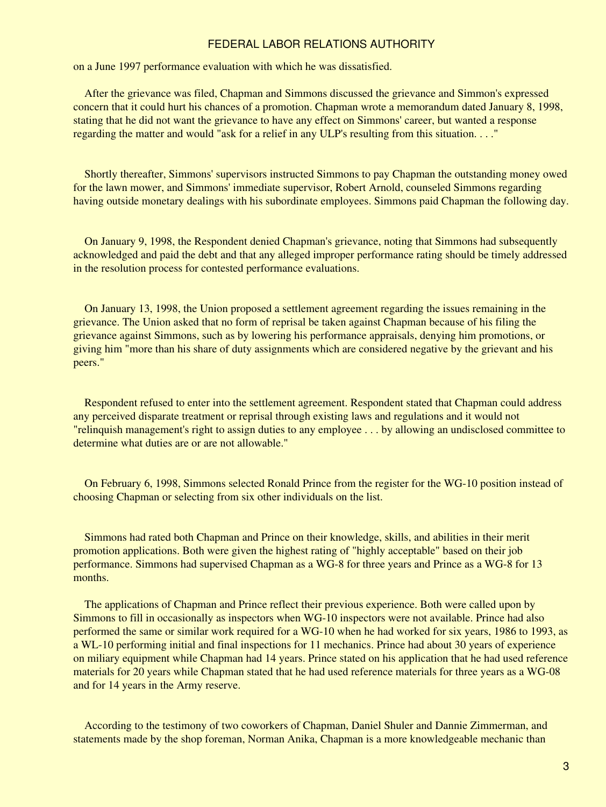on a June 1997 performance evaluation with which he was dissatisfied.

 After the grievance was filed, Chapman and Simmons discussed the grievance and Simmon's expressed concern that it could hurt his chances of a promotion. Chapman wrote a memorandum dated January 8, 1998, stating that he did not want the grievance to have any effect on Simmons' career, but wanted a response regarding the matter and would "ask for a relief in any ULP's resulting from this situation. . . ."

 Shortly thereafter, Simmons' supervisors instructed Simmons to pay Chapman the outstanding money owed for the lawn mower, and Simmons' immediate supervisor, Robert Arnold, counseled Simmons regarding having outside monetary dealings with his subordinate employees. Simmons paid Chapman the following day.

 On January 9, 1998, the Respondent denied Chapman's grievance, noting that Simmons had subsequently acknowledged and paid the debt and that any alleged improper performance rating should be timely addressed in the resolution process for contested performance evaluations.

 On January 13, 1998, the Union proposed a settlement agreement regarding the issues remaining in the grievance. The Union asked that no form of reprisal be taken against Chapman because of his filing the grievance against Simmons, such as by lowering his performance appraisals, denying him promotions, or giving him "more than his share of duty assignments which are considered negative by the grievant and his peers."

 Respondent refused to enter into the settlement agreement. Respondent stated that Chapman could address any perceived disparate treatment or reprisal through existing laws and regulations and it would not "relinquish management's right to assign duties to any employee . . . by allowing an undisclosed committee to determine what duties are or are not allowable."

 On February 6, 1998, Simmons selected Ronald Prince from the register for the WG-10 position instead of choosing Chapman or selecting from six other individuals on the list.

 Simmons had rated both Chapman and Prince on their knowledge, skills, and abilities in their merit promotion applications. Both were given the highest rating of "highly acceptable" based on their job performance. Simmons had supervised Chapman as a WG-8 for three years and Prince as a WG-8 for 13 months.

 The applications of Chapman and Prince reflect their previous experience. Both were called upon by Simmons to fill in occasionally as inspectors when WG-10 inspectors were not available. Prince had also performed the same or similar work required for a WG-10 when he had worked for six years, 1986 to 1993, as a WL-10 performing initial and final inspections for 11 mechanics. Prince had about 30 years of experience on miliary equipment while Chapman had 14 years. Prince stated on his application that he had used reference materials for 20 years while Chapman stated that he had used reference materials for three years as a WG-08 and for 14 years in the Army reserve.

 According to the testimony of two coworkers of Chapman, Daniel Shuler and Dannie Zimmerman, and statements made by the shop foreman, Norman Anika, Chapman is a more knowledgeable mechanic than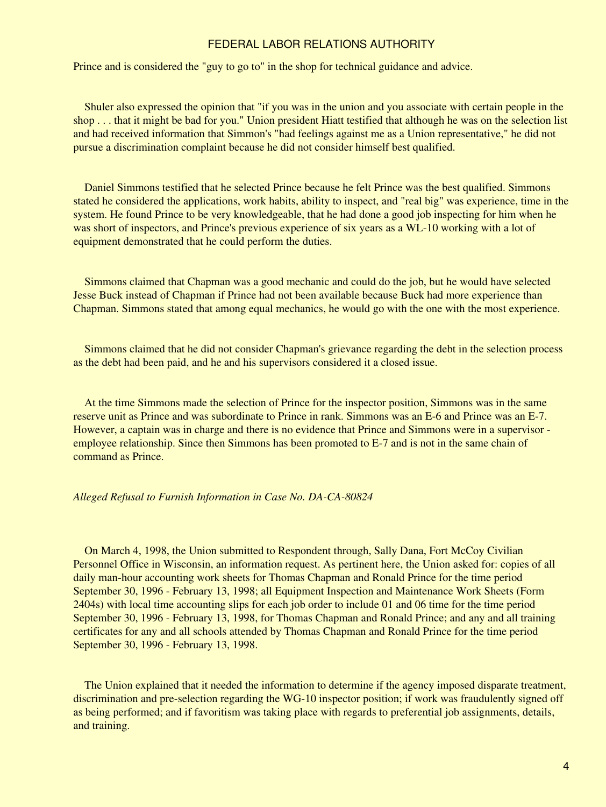Prince and is considered the "guy to go to" in the shop for technical guidance and advice.

 Shuler also expressed the opinion that "if you was in the union and you associate with certain people in the shop . . . that it might be bad for you." Union president Hiatt testified that although he was on the selection list and had received information that Simmon's "had feelings against me as a Union representative," he did not pursue a discrimination complaint because he did not consider himself best qualified.

 Daniel Simmons testified that he selected Prince because he felt Prince was the best qualified. Simmons stated he considered the applications, work habits, ability to inspect, and "real big" was experience, time in the system. He found Prince to be very knowledgeable, that he had done a good job inspecting for him when he was short of inspectors, and Prince's previous experience of six years as a WL-10 working with a lot of equipment demonstrated that he could perform the duties.

 Simmons claimed that Chapman was a good mechanic and could do the job, but he would have selected Jesse Buck instead of Chapman if Prince had not been available because Buck had more experience than Chapman. Simmons stated that among equal mechanics, he would go with the one with the most experience.

 Simmons claimed that he did not consider Chapman's grievance regarding the debt in the selection process as the debt had been paid, and he and his supervisors considered it a closed issue.

 At the time Simmons made the selection of Prince for the inspector position, Simmons was in the same reserve unit as Prince and was subordinate to Prince in rank. Simmons was an E-6 and Prince was an E-7. However, a captain was in charge and there is no evidence that Prince and Simmons were in a supervisor employee relationship. Since then Simmons has been promoted to E-7 and is not in the same chain of command as Prince.

#### *Alleged Refusal to Furnish Information in Case No. DA-CA-80824*

 On March 4, 1998, the Union submitted to Respondent through, Sally Dana, Fort McCoy Civilian Personnel Office in Wisconsin, an information request. As pertinent here, the Union asked for: copies of all daily man-hour accounting work sheets for Thomas Chapman and Ronald Prince for the time period September 30, 1996 - February 13, 1998; all Equipment Inspection and Maintenance Work Sheets (Form 2404s) with local time accounting slips for each job order to include 01 and 06 time for the time period September 30, 1996 - February 13, 1998, for Thomas Chapman and Ronald Prince; and any and all training certificates for any and all schools attended by Thomas Chapman and Ronald Prince for the time period September 30, 1996 - February 13, 1998.

 The Union explained that it needed the information to determine if the agency imposed disparate treatment, discrimination and pre-selection regarding the WG-10 inspector position; if work was fraudulently signed off as being performed; and if favoritism was taking place with regards to preferential job assignments, details, and training.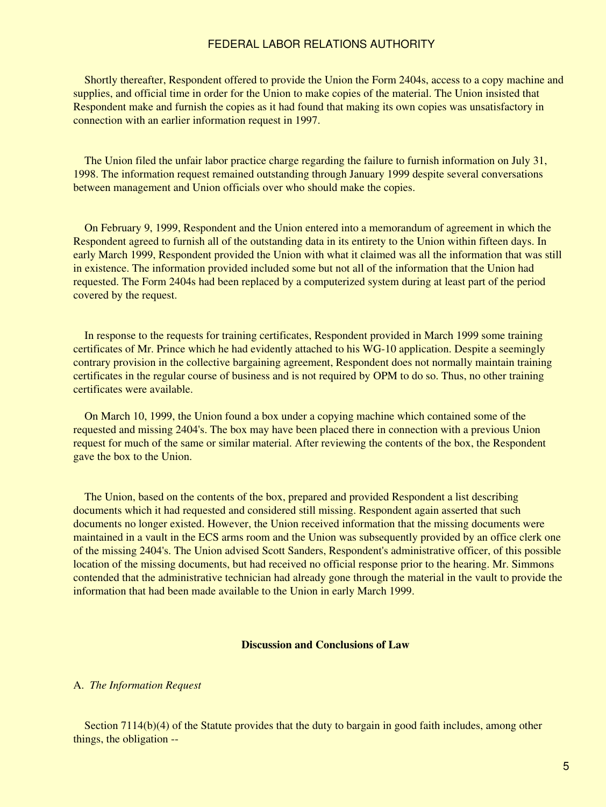Shortly thereafter, Respondent offered to provide the Union the Form 2404s, access to a copy machine and supplies, and official time in order for the Union to make copies of the material. The Union insisted that Respondent make and furnish the copies as it had found that making its own copies was unsatisfactory in connection with an earlier information request in 1997.

 The Union filed the unfair labor practice charge regarding the failure to furnish information on July 31, 1998. The information request remained outstanding through January 1999 despite several conversations between management and Union officials over who should make the copies.

 On February 9, 1999, Respondent and the Union entered into a memorandum of agreement in which the Respondent agreed to furnish all of the outstanding data in its entirety to the Union within fifteen days. In early March 1999, Respondent provided the Union with what it claimed was all the information that was still in existence. The information provided included some but not all of the information that the Union had requested. The Form 2404s had been replaced by a computerized system during at least part of the period covered by the request.

 In response to the requests for training certificates, Respondent provided in March 1999 some training certificates of Mr. Prince which he had evidently attached to his WG-10 application. Despite a seemingly contrary provision in the collective bargaining agreement, Respondent does not normally maintain training certificates in the regular course of business and is not required by OPM to do so. Thus, no other training certificates were available.

 On March 10, 1999, the Union found a box under a copying machine which contained some of the requested and missing 2404's. The box may have been placed there in connection with a previous Union request for much of the same or similar material. After reviewing the contents of the box, the Respondent gave the box to the Union.

 The Union, based on the contents of the box, prepared and provided Respondent a list describing documents which it had requested and considered still missing. Respondent again asserted that such documents no longer existed. However, the Union received information that the missing documents were maintained in a vault in the ECS arms room and the Union was subsequently provided by an office clerk one of the missing 2404's. The Union advised Scott Sanders, Respondent's administrative officer, of this possible location of the missing documents, but had received no official response prior to the hearing. Mr. Simmons contended that the administrative technician had already gone through the material in the vault to provide the information that had been made available to the Union in early March 1999.

### **Discussion and Conclusions of Law**

### A. *The Information Request*

Section 7114(b)(4) of the Statute provides that the duty to bargain in good faith includes, among other things, the obligation --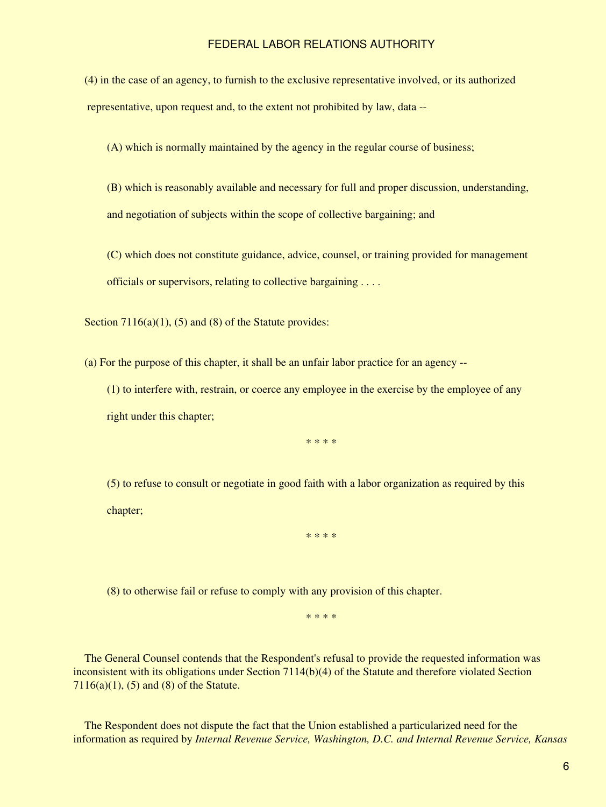(4) in the case of an agency, to furnish to the exclusive representative involved, or its authorized representative, upon request and, to the extent not prohibited by law, data --

(A) which is normally maintained by the agency in the regular course of business;

 (B) which is reasonably available and necessary for full and proper discussion, understanding, and negotiation of subjects within the scope of collective bargaining; and

 (C) which does not constitute guidance, advice, counsel, or training provided for management officials or supervisors, relating to collective bargaining . . . .

Section  $7116(a)(1)$ ,  $(5)$  and  $(8)$  of the Statute provides:

(a) For the purpose of this chapter, it shall be an unfair labor practice for an agency --

 (1) to interfere with, restrain, or coerce any employee in the exercise by the employee of any right under this chapter;

\* \* \* \*

 (5) to refuse to consult or negotiate in good faith with a labor organization as required by this chapter;

\* \* \* \*

(8) to otherwise fail or refuse to comply with any provision of this chapter.

\* \* \* \*

 The General Counsel contends that the Respondent's refusal to provide the requested information was inconsistent with its obligations under Section 7114(b)(4) of the Statute and therefore violated Section  $7116(a)(1)$ ,  $(5)$  and  $(8)$  of the Statute.

 The Respondent does not dispute the fact that the Union established a particularized need for the information as required by *Internal Revenue Service, Washington, D.C. and Internal Revenue Service, Kansas*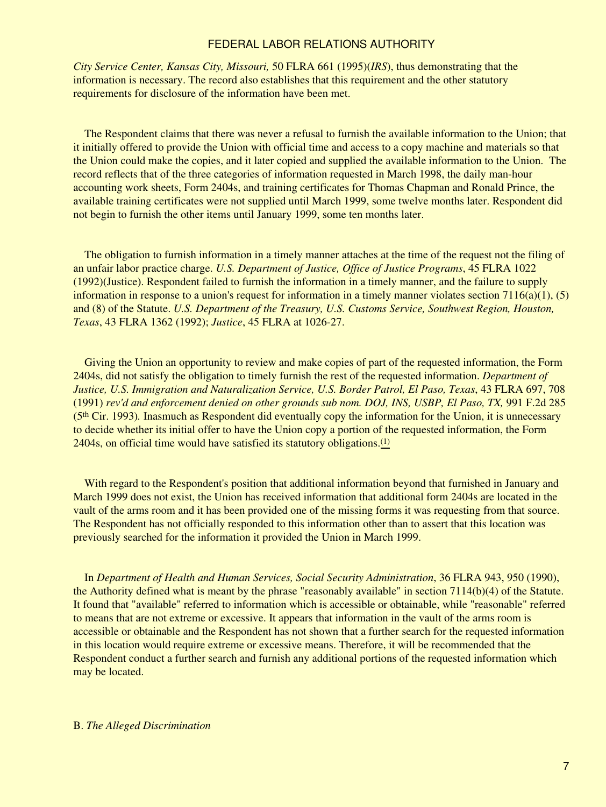*City Service Center, Kansas City, Missouri,* 50 FLRA 661 (1995)(*IRS*), thus demonstrating that the information is necessary. The record also establishes that this requirement and the other statutory requirements for disclosure of the information have been met.

 The Respondent claims that there was never a refusal to furnish the available information to the Union; that it initially offered to provide the Union with official time and access to a copy machine and materials so that the Union could make the copies, and it later copied and supplied the available information to the Union. The record reflects that of the three categories of information requested in March 1998, the daily man-hour accounting work sheets, Form 2404s, and training certificates for Thomas Chapman and Ronald Prince, the available training certificates were not supplied until March 1999, some twelve months later. Respondent did not begin to furnish the other items until January 1999, some ten months later.

 The obligation to furnish information in a timely manner attaches at the time of the request not the filing of an unfair labor practice charge. *U.S. Department of Justice, Office of Justice Programs*, 45 FLRA 1022 (1992)(Justice). Respondent failed to furnish the information in a timely manner, and the failure to supply information in response to a union's request for information in a timely manner violates section  $7116(a)(1)$ ,  $(5)$ and (8) of the Statute. *U.S. Department of the Treasury, U.S. Customs Service, Southwest Region, Houston, Texas*, 43 FLRA 1362 (1992); *Justice*, 45 FLRA at 1026-27.

 Giving the Union an opportunity to review and make copies of part of the requested information, the Form 2404s, did not satisfy the obligation to timely furnish the rest of the requested information. *Department of Justice, U.S. Immigration and Naturalization Service, U.S. Border Patrol, El Paso, Texas*, 43 FLRA 697, 708 (1991) *rev'd and enforcement denied on other grounds sub nom. DOJ, INS, USBP, El Paso, TX,* 991 F.2d 285 (5th Cir. 1993)*.* Inasmuch as Respondent did eventually copy the information for the Union, it is unnecessary to decide whether its initial offer to have the Union copy a portion of the requested information, the Form 2404s, on official time would have satisfied its statutory obligations.[\(1\)](#page-11-0)

 With regard to the Respondent's position that additional information beyond that furnished in January and March 1999 does not exist, the Union has received information that additional form 2404s are located in the vault of the arms room and it has been provided one of the missing forms it was requesting from that source. The Respondent has not officially responded to this information other than to assert that this location was previously searched for the information it provided the Union in March 1999.

 In *Department of Health and Human Services, Social Security Administration*, 36 FLRA 943, 950 (1990), the Authority defined what is meant by the phrase "reasonably available" in section 7114(b)(4) of the Statute. It found that "available" referred to information which is accessible or obtainable, while "reasonable" referred to means that are not extreme or excessive. It appears that information in the vault of the arms room is accessible or obtainable and the Respondent has not shown that a further search for the requested information in this location would require extreme or excessive means. Therefore, it will be recommended that the Respondent conduct a further search and furnish any additional portions of the requested information which may be located.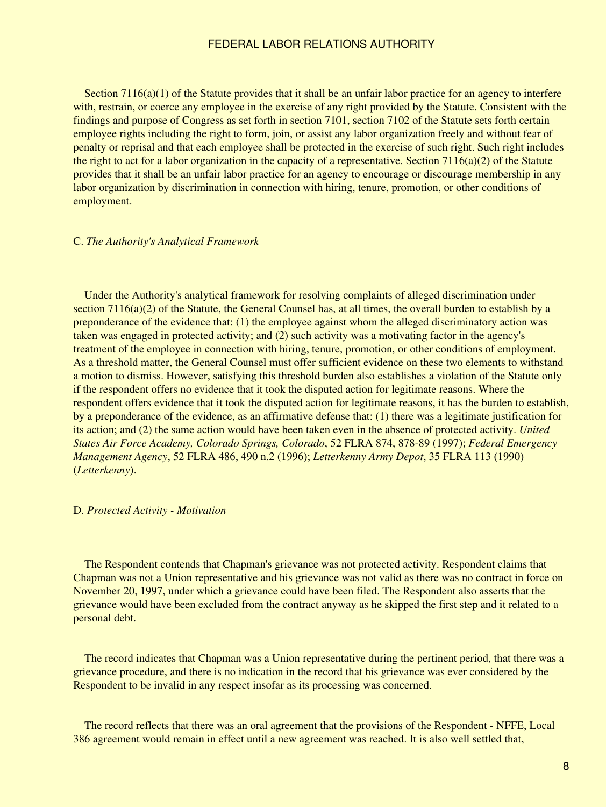Section 7116(a)(1) of the Statute provides that it shall be an unfair labor practice for an agency to interfere with, restrain, or coerce any employee in the exercise of any right provided by the Statute. Consistent with the findings and purpose of Congress as set forth in section 7101, section 7102 of the Statute sets forth certain employee rights including the right to form, join, or assist any labor organization freely and without fear of penalty or reprisal and that each employee shall be protected in the exercise of such right. Such right includes the right to act for a labor organization in the capacity of a representative. Section  $7116(a)(2)$  of the Statute provides that it shall be an unfair labor practice for an agency to encourage or discourage membership in any labor organization by discrimination in connection with hiring, tenure, promotion, or other conditions of employment.

#### C. *The Authority's Analytical Framework*

 Under the Authority's analytical framework for resolving complaints of alleged discrimination under section 7116(a)(2) of the Statute, the General Counsel has, at all times, the overall burden to establish by a preponderance of the evidence that: (1) the employee against whom the alleged discriminatory action was taken was engaged in protected activity; and (2) such activity was a motivating factor in the agency's treatment of the employee in connection with hiring, tenure, promotion, or other conditions of employment. As a threshold matter, the General Counsel must offer sufficient evidence on these two elements to withstand a motion to dismiss. However, satisfying this threshold burden also establishes a violation of the Statute only if the respondent offers no evidence that it took the disputed action for legitimate reasons. Where the respondent offers evidence that it took the disputed action for legitimate reasons, it has the burden to establish, by a preponderance of the evidence, as an affirmative defense that: (1) there was a legitimate justification for its action; and (2) the same action would have been taken even in the absence of protected activity. *United States Air Force Academy, Colorado Springs, Colorado*, 52 FLRA 874, 878-89 (1997); *Federal Emergency Management Agency*, 52 FLRA 486, 490 n.2 (1996); *Letterkenny Army Depot*, 35 FLRA 113 (1990) (*Letterkenny*).

### D. *Protected Activity - Motivation*

 The Respondent contends that Chapman's grievance was not protected activity. Respondent claims that Chapman was not a Union representative and his grievance was not valid as there was no contract in force on November 20, 1997, under which a grievance could have been filed. The Respondent also asserts that the grievance would have been excluded from the contract anyway as he skipped the first step and it related to a personal debt.

 The record indicates that Chapman was a Union representative during the pertinent period, that there was a grievance procedure, and there is no indication in the record that his grievance was ever considered by the Respondent to be invalid in any respect insofar as its processing was concerned.

 The record reflects that there was an oral agreement that the provisions of the Respondent - NFFE, Local 386 agreement would remain in effect until a new agreement was reached. It is also well settled that,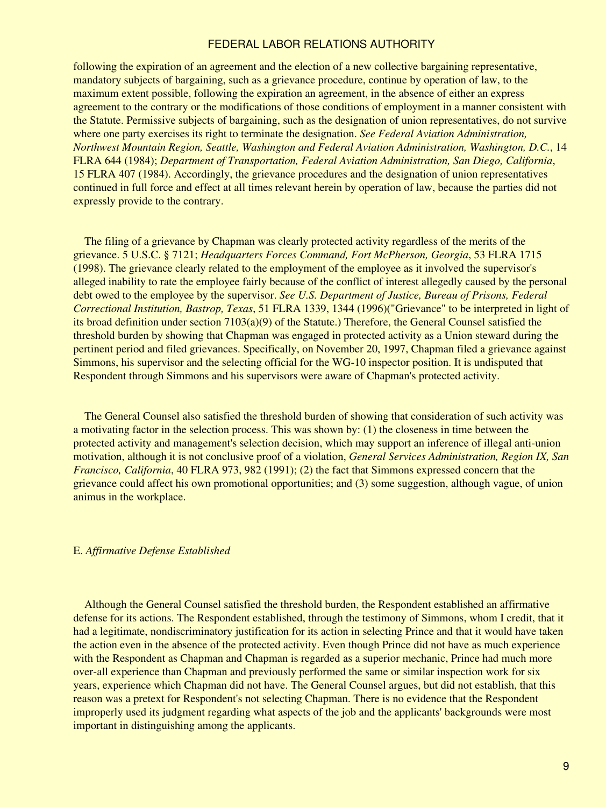following the expiration of an agreement and the election of a new collective bargaining representative, mandatory subjects of bargaining, such as a grievance procedure, continue by operation of law, to the maximum extent possible, following the expiration an agreement, in the absence of either an express agreement to the contrary or the modifications of those conditions of employment in a manner consistent with the Statute. Permissive subjects of bargaining, such as the designation of union representatives, do not survive where one party exercises its right to terminate the designation. *See Federal Aviation Administration, Northwest Mountain Region, Seattle, Washington and Federal Aviation Administration, Washington, D.C.*, 14 FLRA 644 (1984); *Department of Transportation, Federal Aviation Administration, San Diego, California*, 15 FLRA 407 (1984). Accordingly, the grievance procedures and the designation of union representatives continued in full force and effect at all times relevant herein by operation of law, because the parties did not expressly provide to the contrary.

 The filing of a grievance by Chapman was clearly protected activity regardless of the merits of the grievance. 5 U.S.C. § 7121; *Headquarters Forces Command, Fort McPherson, Georgia*, 53 FLRA 1715 (1998). The grievance clearly related to the employment of the employee as it involved the supervisor's alleged inability to rate the employee fairly because of the conflict of interest allegedly caused by the personal debt owed to the employee by the supervisor. *See U.S. Department of Justice, Bureau of Prisons, Federal Correctional Institution, Bastrop, Texas*, 51 FLRA 1339, 1344 (1996)("Grievance" to be interpreted in light of its broad definition under section 7103(a)(9) of the Statute.) Therefore, the General Counsel satisfied the threshold burden by showing that Chapman was engaged in protected activity as a Union steward during the pertinent period and filed grievances. Specifically, on November 20, 1997, Chapman filed a grievance against Simmons, his supervisor and the selecting official for the WG-10 inspector position. It is undisputed that Respondent through Simmons and his supervisors were aware of Chapman's protected activity.

 The General Counsel also satisfied the threshold burden of showing that consideration of such activity was a motivating factor in the selection process. This was shown by: (1) the closeness in time between the protected activity and management's selection decision, which may support an inference of illegal anti-union motivation, although it is not conclusive proof of a violation, *General Services Administration, Region IX, San Francisco, California*, 40 FLRA 973, 982 (1991); (2) the fact that Simmons expressed concern that the grievance could affect his own promotional opportunities; and (3) some suggestion, although vague, of union animus in the workplace.

#### E. *Affirmative Defense Established*

 Although the General Counsel satisfied the threshold burden, the Respondent established an affirmative defense for its actions. The Respondent established, through the testimony of Simmons, whom I credit, that it had a legitimate, nondiscriminatory justification for its action in selecting Prince and that it would have taken the action even in the absence of the protected activity. Even though Prince did not have as much experience with the Respondent as Chapman and Chapman is regarded as a superior mechanic, Prince had much more over-all experience than Chapman and previously performed the same or similar inspection work for six years, experience which Chapman did not have. The General Counsel argues, but did not establish, that this reason was a pretext for Respondent's not selecting Chapman. There is no evidence that the Respondent improperly used its judgment regarding what aspects of the job and the applicants' backgrounds were most important in distinguishing among the applicants.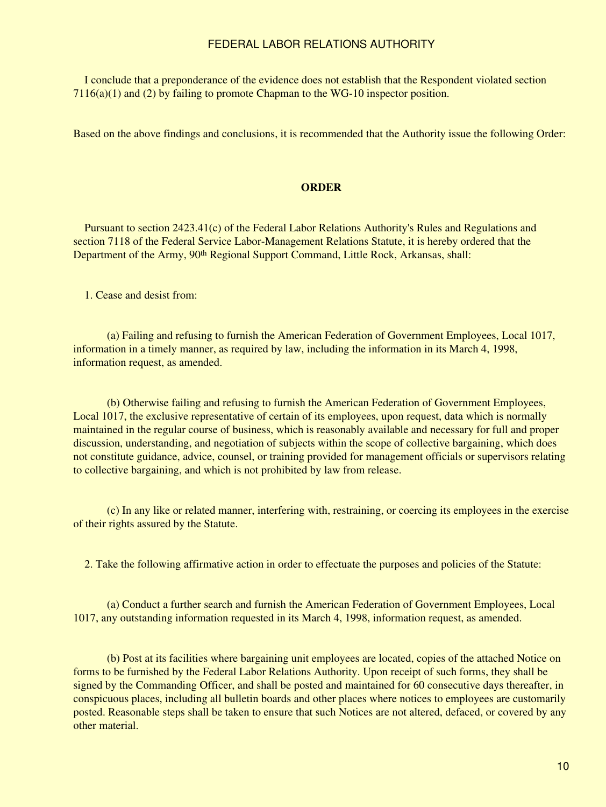I conclude that a preponderance of the evidence does not establish that the Respondent violated section  $7116(a)(1)$  and (2) by failing to promote Chapman to the WG-10 inspector position.

Based on the above findings and conclusions, it is recommended that the Authority issue the following Order:

### **ORDER**

 Pursuant to section 2423.41(c) of the Federal Labor Relations Authority's Rules and Regulations and section 7118 of the Federal Service Labor-Management Relations Statute, it is hereby ordered that the Department of the Army, 90<sup>th</sup> Regional Support Command, Little Rock, Arkansas, shall:

1. Cease and desist from:

 (a) Failing and refusing to furnish the American Federation of Government Employees, Local 1017, information in a timely manner, as required by law, including the information in its March 4, 1998, information request, as amended.

 (b) Otherwise failing and refusing to furnish the American Federation of Government Employees, Local 1017, the exclusive representative of certain of its employees, upon request, data which is normally maintained in the regular course of business, which is reasonably available and necessary for full and proper discussion, understanding, and negotiation of subjects within the scope of collective bargaining, which does not constitute guidance, advice, counsel, or training provided for management officials or supervisors relating to collective bargaining, and which is not prohibited by law from release.

 (c) In any like or related manner, interfering with, restraining, or coercing its employees in the exercise of their rights assured by the Statute.

2. Take the following affirmative action in order to effectuate the purposes and policies of the Statute:

 (a) Conduct a further search and furnish the American Federation of Government Employees, Local 1017, any outstanding information requested in its March 4, 1998, information request, as amended.

 (b) Post at its facilities where bargaining unit employees are located, copies of the attached Notice on forms to be furnished by the Federal Labor Relations Authority. Upon receipt of such forms, they shall be signed by the Commanding Officer, and shall be posted and maintained for 60 consecutive days thereafter, in conspicuous places, including all bulletin boards and other places where notices to employees are customarily posted. Reasonable steps shall be taken to ensure that such Notices are not altered, defaced, or covered by any other material.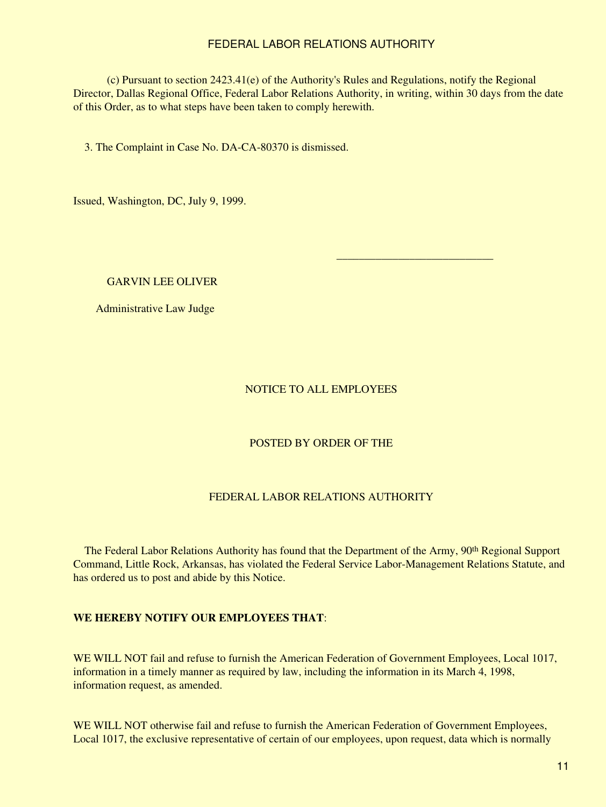(c) Pursuant to section 2423.41(e) of the Authority's Rules and Regulations, notify the Regional Director, Dallas Regional Office, Federal Labor Relations Authority, in writing, within 30 days from the date of this Order, as to what steps have been taken to comply herewith.

3. The Complaint in Case No. DA-CA-80370 is dismissed.

Issued, Washington, DC, July 9, 1999.

### GARVIN LEE OLIVER

Administrative Law Judge

### NOTICE TO ALL EMPLOYEES

 $\mathcal{L}_\text{max}$  , and the contract of the contract of the contract of the contract of the contract of the contract of the contract of the contract of the contract of the contract of the contract of the contract of the contr

## POSTED BY ORDER OF THE

### FEDERAL LABOR RELATIONS AUTHORITY

The Federal Labor Relations Authority has found that the Department of the Army, 90<sup>th</sup> Regional Support Command, Little Rock, Arkansas, has violated the Federal Service Labor-Management Relations Statute, and has ordered us to post and abide by this Notice.

### **WE HEREBY NOTIFY OUR EMPLOYEES THAT**:

WE WILL NOT fail and refuse to furnish the American Federation of Government Employees, Local 1017, information in a timely manner as required by law, including the information in its March 4, 1998, information request, as amended.

WE WILL NOT otherwise fail and refuse to furnish the American Federation of Government Employees, Local 1017, the exclusive representative of certain of our employees, upon request, data which is normally